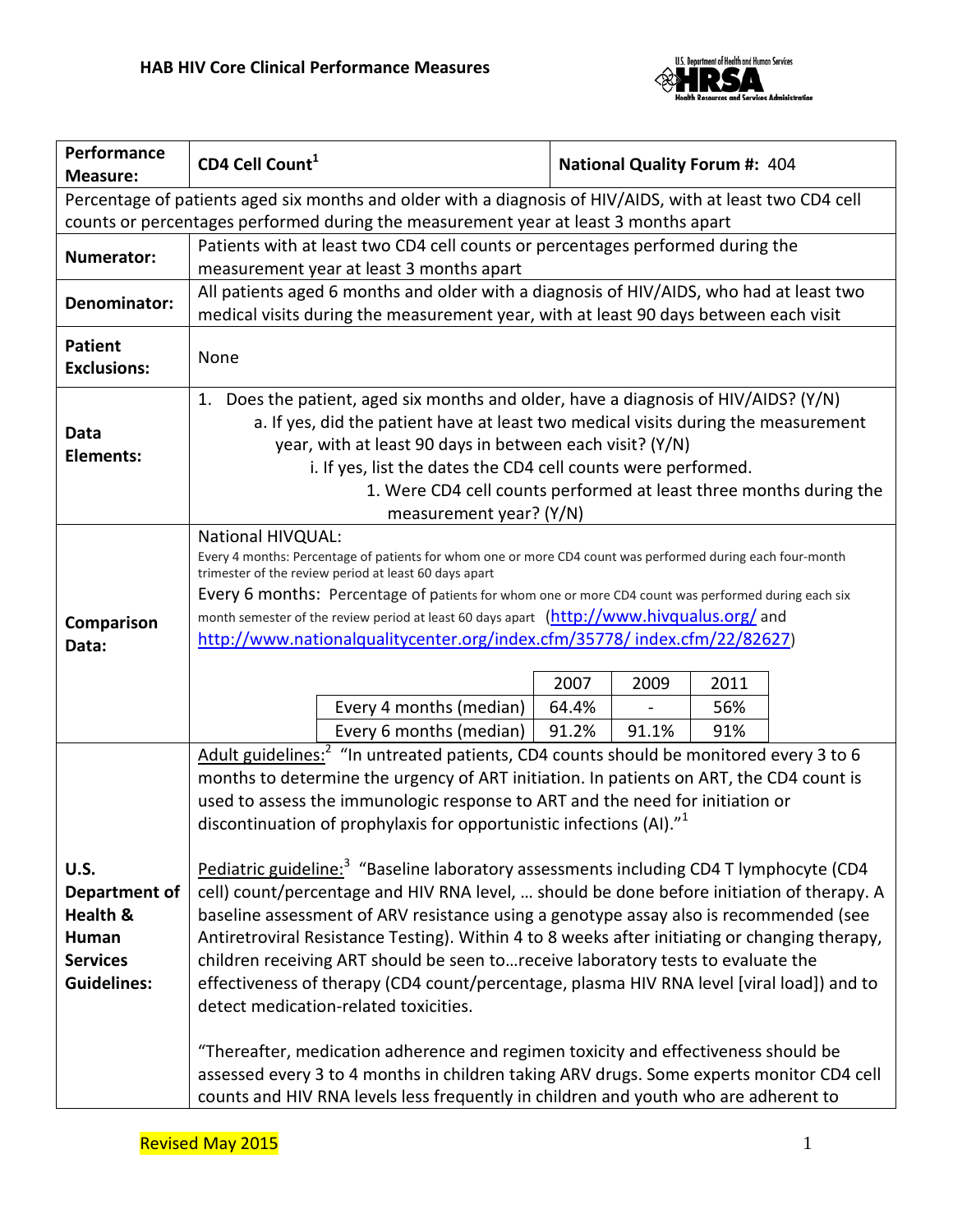

| Performance<br><b>Measure:</b>                                                                            | CD4 Cell Count <sup>1</sup>                                                                                                                                                            |                                                                                                    |                                                                                | <b>National Quality Forum #: 404</b> |      |  |  |  |  |
|-----------------------------------------------------------------------------------------------------------|----------------------------------------------------------------------------------------------------------------------------------------------------------------------------------------|----------------------------------------------------------------------------------------------------|--------------------------------------------------------------------------------|--------------------------------------|------|--|--|--|--|
| Percentage of patients aged six months and older with a diagnosis of HIV/AIDS, with at least two CD4 cell |                                                                                                                                                                                        |                                                                                                    |                                                                                |                                      |      |  |  |  |  |
| counts or percentages performed during the measurement year at least 3 months apart                       |                                                                                                                                                                                        |                                                                                                    |                                                                                |                                      |      |  |  |  |  |
|                                                                                                           |                                                                                                                                                                                        |                                                                                                    | Patients with at least two CD4 cell counts or percentages performed during the |                                      |      |  |  |  |  |
| Numerator:                                                                                                |                                                                                                                                                                                        | measurement year at least 3 months apart                                                           |                                                                                |                                      |      |  |  |  |  |
| Denominator:                                                                                              |                                                                                                                                                                                        | All patients aged 6 months and older with a diagnosis of HIV/AIDS, who had at least two            |                                                                                |                                      |      |  |  |  |  |
|                                                                                                           | medical visits during the measurement year, with at least 90 days between each visit                                                                                                   |                                                                                                    |                                                                                |                                      |      |  |  |  |  |
| <b>Patient</b>                                                                                            |                                                                                                                                                                                        |                                                                                                    |                                                                                |                                      |      |  |  |  |  |
| <b>Exclusions:</b>                                                                                        | None                                                                                                                                                                                   |                                                                                                    |                                                                                |                                      |      |  |  |  |  |
|                                                                                                           | 1. Does the patient, aged six months and older, have a diagnosis of HIV/AIDS? (Y/N)                                                                                                    |                                                                                                    |                                                                                |                                      |      |  |  |  |  |
|                                                                                                           |                                                                                                                                                                                        |                                                                                                    |                                                                                |                                      |      |  |  |  |  |
| Data                                                                                                      | a. If yes, did the patient have at least two medical visits during the measurement<br>year, with at least 90 days in between each visit? (Y/N)                                         |                                                                                                    |                                                                                |                                      |      |  |  |  |  |
| <b>Elements:</b>                                                                                          | i. If yes, list the dates the CD4 cell counts were performed.                                                                                                                          |                                                                                                    |                                                                                |                                      |      |  |  |  |  |
|                                                                                                           |                                                                                                                                                                                        | 1. Were CD4 cell counts performed at least three months during the                                 |                                                                                |                                      |      |  |  |  |  |
|                                                                                                           |                                                                                                                                                                                        | measurement year? (Y/N)                                                                            |                                                                                |                                      |      |  |  |  |  |
|                                                                                                           | <b>National HIVQUAL:</b>                                                                                                                                                               |                                                                                                    |                                                                                |                                      |      |  |  |  |  |
|                                                                                                           | Every 4 months: Percentage of patients for whom one or more CD4 count was performed during each four-month                                                                             |                                                                                                    |                                                                                |                                      |      |  |  |  |  |
|                                                                                                           | trimester of the review period at least 60 days apart<br>Every 6 months: Percentage of patients for whom one or more CD4 count was performed during each six                           |                                                                                                    |                                                                                |                                      |      |  |  |  |  |
|                                                                                                           | month semester of the review period at least 60 days apart (http://www.hivqualus.org/ and                                                                                              |                                                                                                    |                                                                                |                                      |      |  |  |  |  |
| Comparison<br>Data:                                                                                       | http://www.nationalqualitycenter.org/index.cfm/35778/ index.cfm/22/82627)                                                                                                              |                                                                                                    |                                                                                |                                      |      |  |  |  |  |
|                                                                                                           |                                                                                                                                                                                        |                                                                                                    |                                                                                |                                      |      |  |  |  |  |
|                                                                                                           |                                                                                                                                                                                        |                                                                                                    | 2007                                                                           | 2009                                 | 2011 |  |  |  |  |
|                                                                                                           |                                                                                                                                                                                        | Every 4 months (median)                                                                            | 64.4%                                                                          |                                      | 56%  |  |  |  |  |
|                                                                                                           |                                                                                                                                                                                        | Every 6 months (median)                                                                            | 91.2%                                                                          | 91.1%                                | 91%  |  |  |  |  |
|                                                                                                           |                                                                                                                                                                                        | Adult guidelines: <sup>2</sup> "In untreated patients, CD4 counts should be monitored every 3 to 6 |                                                                                |                                      |      |  |  |  |  |
|                                                                                                           |                                                                                                                                                                                        | months to determine the urgency of ART initiation. In patients on ART, the CD4 count is            |                                                                                |                                      |      |  |  |  |  |
|                                                                                                           |                                                                                                                                                                                        | used to assess the immunologic response to ART and the need for initiation or                      |                                                                                |                                      |      |  |  |  |  |
|                                                                                                           |                                                                                                                                                                                        | discontinuation of prophylaxis for opportunistic infections (AI)." <sup>1</sup>                    |                                                                                |                                      |      |  |  |  |  |
|                                                                                                           |                                                                                                                                                                                        |                                                                                                    |                                                                                |                                      |      |  |  |  |  |
| U.S.                                                                                                      | Pediatric guideline: <sup>3</sup> "Baseline laboratory assessments including CD4 T lymphocyte (CD4                                                                                     |                                                                                                    |                                                                                |                                      |      |  |  |  |  |
| Department of<br>Health &                                                                                 | cell) count/percentage and HIV RNA level,  should be done before initiation of therapy. A                                                                                              |                                                                                                    |                                                                                |                                      |      |  |  |  |  |
| Human                                                                                                     | baseline assessment of ARV resistance using a genotype assay also is recommended (see<br>Antiretroviral Resistance Testing). Within 4 to 8 weeks after initiating or changing therapy, |                                                                                                    |                                                                                |                                      |      |  |  |  |  |
| <b>Services</b>                                                                                           | children receiving ART should be seen to receive laboratory tests to evaluate the                                                                                                      |                                                                                                    |                                                                                |                                      |      |  |  |  |  |
| <b>Guidelines:</b>                                                                                        |                                                                                                                                                                                        | effectiveness of therapy (CD4 count/percentage, plasma HIV RNA level [viral load]) and to          |                                                                                |                                      |      |  |  |  |  |
|                                                                                                           |                                                                                                                                                                                        | detect medication-related toxicities.                                                              |                                                                                |                                      |      |  |  |  |  |
|                                                                                                           |                                                                                                                                                                                        |                                                                                                    |                                                                                |                                      |      |  |  |  |  |
|                                                                                                           |                                                                                                                                                                                        | "Thereafter, medication adherence and regimen toxicity and effectiveness should be                 |                                                                                |                                      |      |  |  |  |  |
|                                                                                                           | assessed every 3 to 4 months in children taking ARV drugs. Some experts monitor CD4 cell                                                                                               |                                                                                                    |                                                                                |                                      |      |  |  |  |  |
|                                                                                                           | counts and HIV RNA levels less frequently in children and youth who are adherent to                                                                                                    |                                                                                                    |                                                                                |                                      |      |  |  |  |  |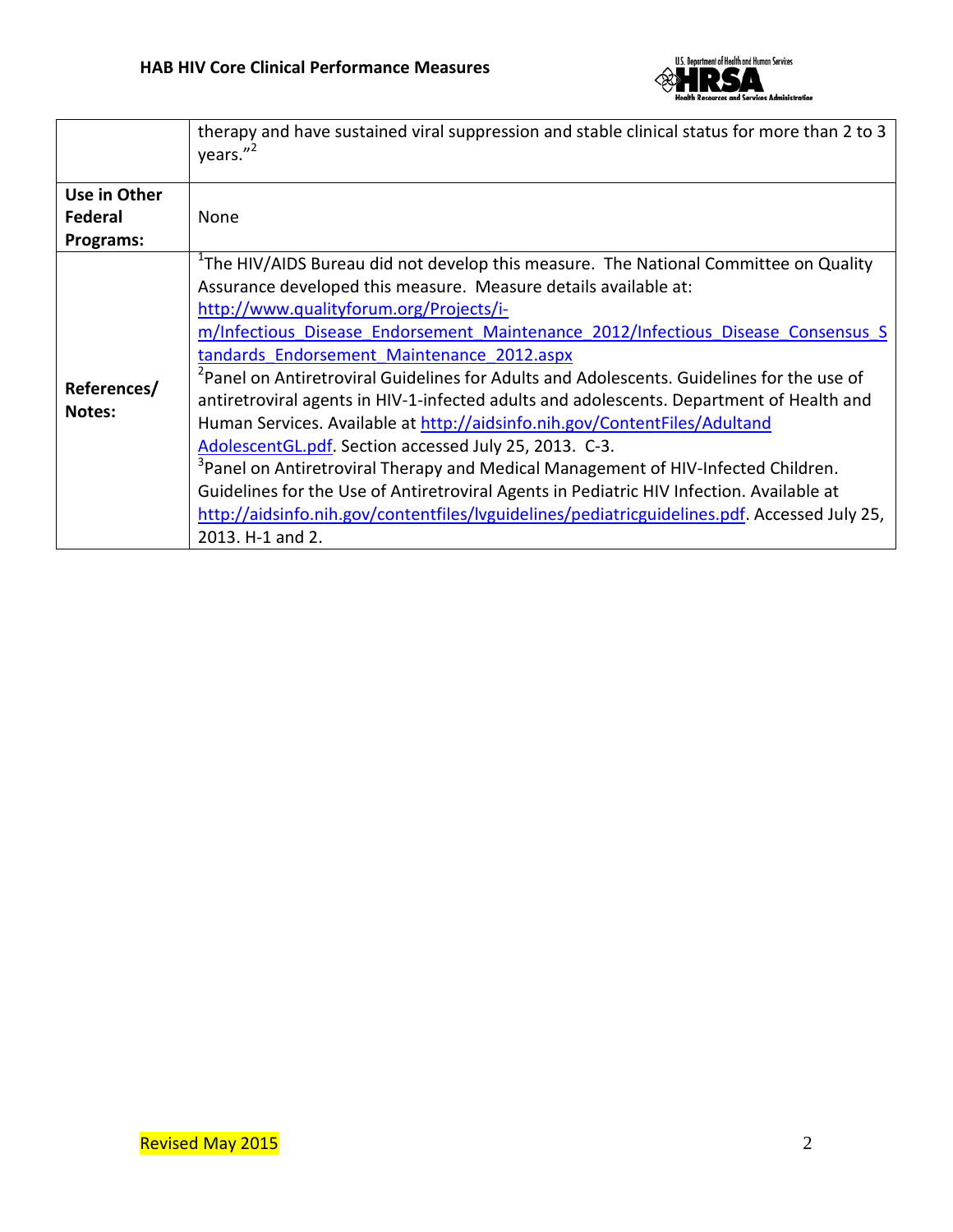

|                       | therapy and have sustained viral suppression and stable clinical status for more than 2 to 3<br>years."2                                                                                                                                                                                                                                  |  |  |  |  |  |
|-----------------------|-------------------------------------------------------------------------------------------------------------------------------------------------------------------------------------------------------------------------------------------------------------------------------------------------------------------------------------------|--|--|--|--|--|
| Use in Other          |                                                                                                                                                                                                                                                                                                                                           |  |  |  |  |  |
| Federal               | None                                                                                                                                                                                                                                                                                                                                      |  |  |  |  |  |
| Programs:             |                                                                                                                                                                                                                                                                                                                                           |  |  |  |  |  |
| References/<br>Notes: | <sup>1</sup> The HIV/AIDS Bureau did not develop this measure. The National Committee on Quality                                                                                                                                                                                                                                          |  |  |  |  |  |
|                       | Assurance developed this measure. Measure details available at:                                                                                                                                                                                                                                                                           |  |  |  |  |  |
|                       | http://www.qualityforum.org/Projects/i-                                                                                                                                                                                                                                                                                                   |  |  |  |  |  |
|                       | m/Infectious Disease Endorsement Maintenance 2012/Infectious Disease Consensus S                                                                                                                                                                                                                                                          |  |  |  |  |  |
|                       | tandards Endorsement Maintenance 2012.aspx                                                                                                                                                                                                                                                                                                |  |  |  |  |  |
|                       | <sup>2</sup> Panel on Antiretroviral Guidelines for Adults and Adolescents. Guidelines for the use of<br>antiretroviral agents in HIV-1-infected adults and adolescents. Department of Health and<br>Human Services. Available at http://aidsinfo.nih.gov/ContentFiles/Adultand<br>AdolescentGL.pdf. Section accessed July 25, 2013. C-3. |  |  |  |  |  |
|                       | <sup>3</sup> Panel on Antiretroviral Therapy and Medical Management of HIV-Infected Children.                                                                                                                                                                                                                                             |  |  |  |  |  |
|                       | Guidelines for the Use of Antiretroviral Agents in Pediatric HIV Infection. Available at                                                                                                                                                                                                                                                  |  |  |  |  |  |
|                       | http://aidsinfo.nih.gov/contentfiles/lyguidelines/pediatricguidelines.pdf. Accessed July 25,                                                                                                                                                                                                                                              |  |  |  |  |  |
|                       | 2013. H-1 and 2.                                                                                                                                                                                                                                                                                                                          |  |  |  |  |  |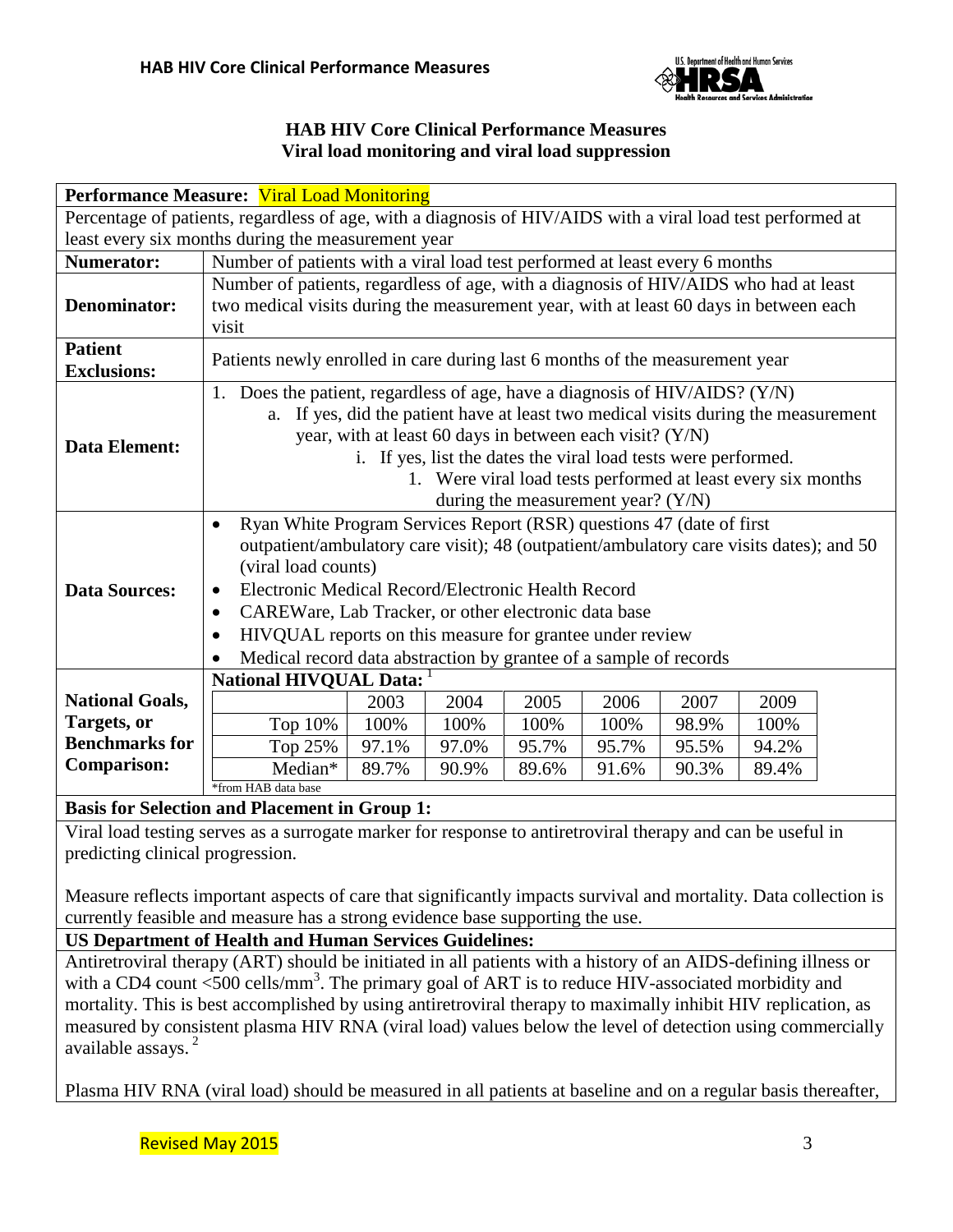

## **HAB HIV Core Clinical Performance Measures Viral load monitoring and viral load suppression**

| <b>Performance Measure: Viral Load Monitoring</b>                                                           |                                                                                                                                                                                                                                                                                                                                                                                                                                                                                           |       |       |       |       |       |       |  |
|-------------------------------------------------------------------------------------------------------------|-------------------------------------------------------------------------------------------------------------------------------------------------------------------------------------------------------------------------------------------------------------------------------------------------------------------------------------------------------------------------------------------------------------------------------------------------------------------------------------------|-------|-------|-------|-------|-------|-------|--|
| Percentage of patients, regardless of age, with a diagnosis of HIV/AIDS with a viral load test performed at |                                                                                                                                                                                                                                                                                                                                                                                                                                                                                           |       |       |       |       |       |       |  |
| least every six months during the measurement year                                                          |                                                                                                                                                                                                                                                                                                                                                                                                                                                                                           |       |       |       |       |       |       |  |
| <b>Numerator:</b>                                                                                           | Number of patients with a viral load test performed at least every 6 months                                                                                                                                                                                                                                                                                                                                                                                                               |       |       |       |       |       |       |  |
| <b>Denominator:</b>                                                                                         | Number of patients, regardless of age, with a diagnosis of HIV/AIDS who had at least<br>two medical visits during the measurement year, with at least 60 days in between each<br>visit                                                                                                                                                                                                                                                                                                    |       |       |       |       |       |       |  |
| <b>Patient</b><br><b>Exclusions:</b>                                                                        | Patients newly enrolled in care during last 6 months of the measurement year                                                                                                                                                                                                                                                                                                                                                                                                              |       |       |       |       |       |       |  |
| <b>Data Element:</b>                                                                                        | 1. Does the patient, regardless of age, have a diagnosis of HIV/AIDS? (Y/N)<br>a. If yes, did the patient have at least two medical visits during the measurement<br>year, with at least 60 days in between each visit? $(Y/N)$<br>i. If yes, list the dates the viral load tests were performed.<br>1. Were viral load tests performed at least every six months<br>during the measurement year? $(Y/N)$                                                                                 |       |       |       |       |       |       |  |
| <b>Data Sources:</b>                                                                                        | Ryan White Program Services Report (RSR) questions 47 (date of first<br>$\bullet$<br>outpatient/ambulatory care visit); 48 (outpatient/ambulatory care visits dates); and 50<br>(viral load counts)<br>Electronic Medical Record/Electronic Health Record<br>$\bullet$<br>CAREWare, Lab Tracker, or other electronic data base<br>$\bullet$<br>HIVQUAL reports on this measure for grantee under review<br>$\bullet$<br>Medical record data abstraction by grantee of a sample of records |       |       |       |       |       |       |  |
| <b>National Goals,</b>                                                                                      | National HIVQUAL Data:<br>2003<br>2005<br>2006<br>2004<br>2007<br>2009                                                                                                                                                                                                                                                                                                                                                                                                                    |       |       |       |       |       |       |  |
| Targets, or                                                                                                 | Top 10%                                                                                                                                                                                                                                                                                                                                                                                                                                                                                   | 100%  | 100%  | 100%  | 100%  | 98.9% | 100%  |  |
| <b>Benchmarks for</b>                                                                                       | Top 25%                                                                                                                                                                                                                                                                                                                                                                                                                                                                                   | 97.1% | 97.0% | 95.7% | 95.7% | 95.5% | 94.2% |  |
| <b>Comparison:</b>                                                                                          | Median*                                                                                                                                                                                                                                                                                                                                                                                                                                                                                   | 89.7% | 90.9% | 89.6% | 91.6% | 90.3% | 89.4% |  |
|                                                                                                             | *from HAB data base                                                                                                                                                                                                                                                                                                                                                                                                                                                                       |       |       |       |       |       |       |  |

**Basis for Selection and Placement in Group 1:**

Viral load testing serves as a surrogate marker for response to antiretroviral therapy and can be useful in predicting clinical progression.

Measure reflects important aspects of care that significantly impacts survival and mortality. Data collection is currently feasible and measure has a strong evidence base supporting the use.

**US Department of Health and Human Services Guidelines:**

Antiretroviral therapy (ART) should be initiated in all patients with a history of an AIDS-defining illness or with a CD4 count <500 cells/mm<sup>3</sup>. The primary goal of ART is to reduce HIV-associated morbidity and mortality. This is best accomplished by using antiretroviral therapy to maximally inhibit HIV replication, as measured by consistent plasma HIV RNA (viral load) values below the level of detection using commercially available assays.<sup>2</sup>

Plasma HIV RNA (viral load) should be measured in all patients at baseline and on a regular basis thereafter,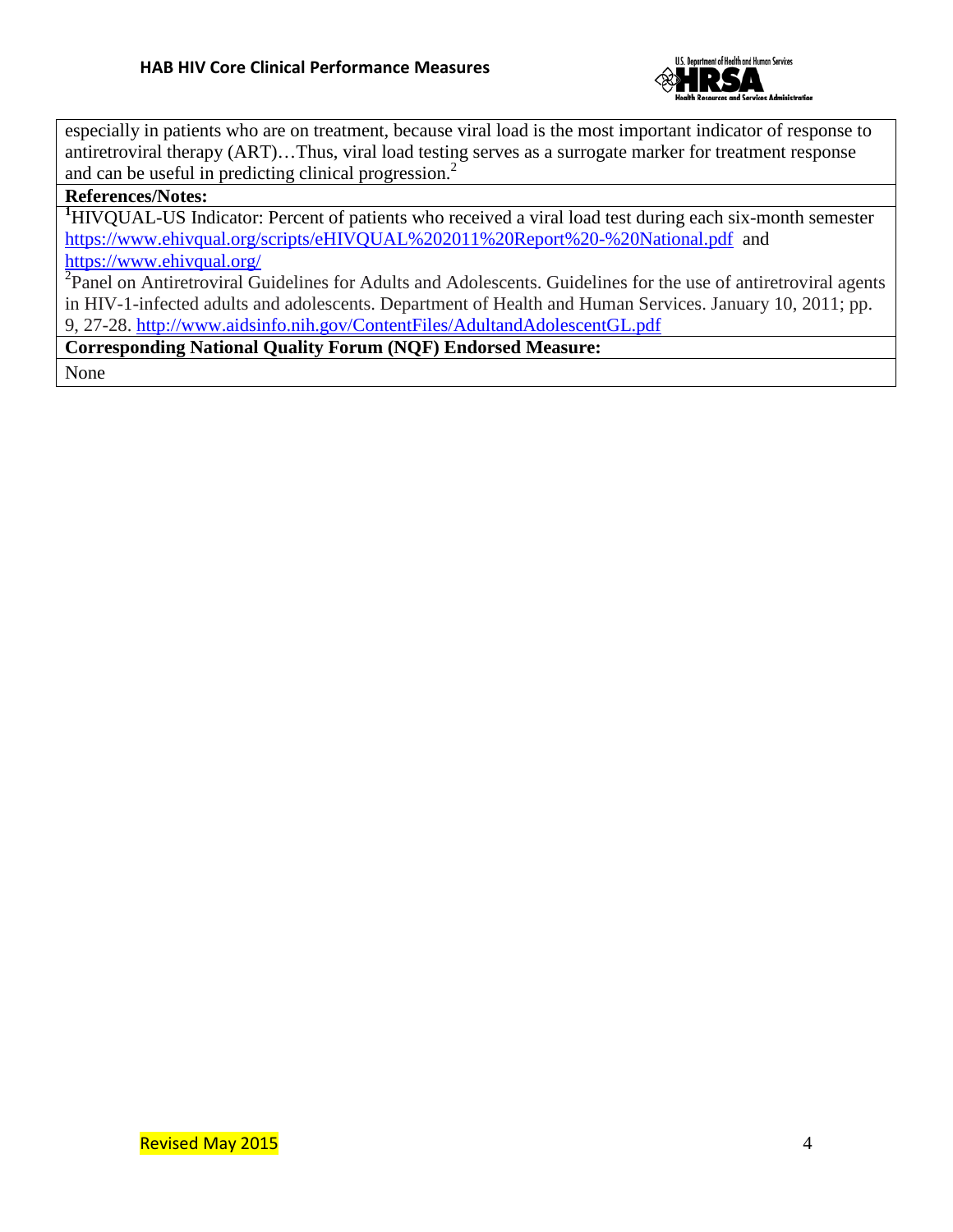

especially in patients who are on treatment, because viral load is the most important indicator of response to antiretroviral therapy (ART)…Thus, viral load testing serves as a surrogate marker for treatment response and can be useful in predicting clinical progression. 2

## **References/Notes:**

<sup>1</sup>HIVQUAL-US Indicator: Percent of patients who received a viral load test during each six-month semester <https://www.ehivqual.org/scripts/eHIVQUAL%202011%20Report%20-%20National.pdf>and <https://www.ehivqual.org/>

<sup>2</sup>Panel on Antiretroviral Guidelines for Adults and Adolescents. Guidelines for the use of antiretroviral agents in HIV-1-infected adults and adolescents. Department of Health and Human Services. January 10, 2011; pp. 9, 27-28.<http://www.aidsinfo.nih.gov/ContentFiles/AdultandAdolescentGL.pdf>

**Corresponding National Quality Forum (NQF) Endorsed Measure:**

None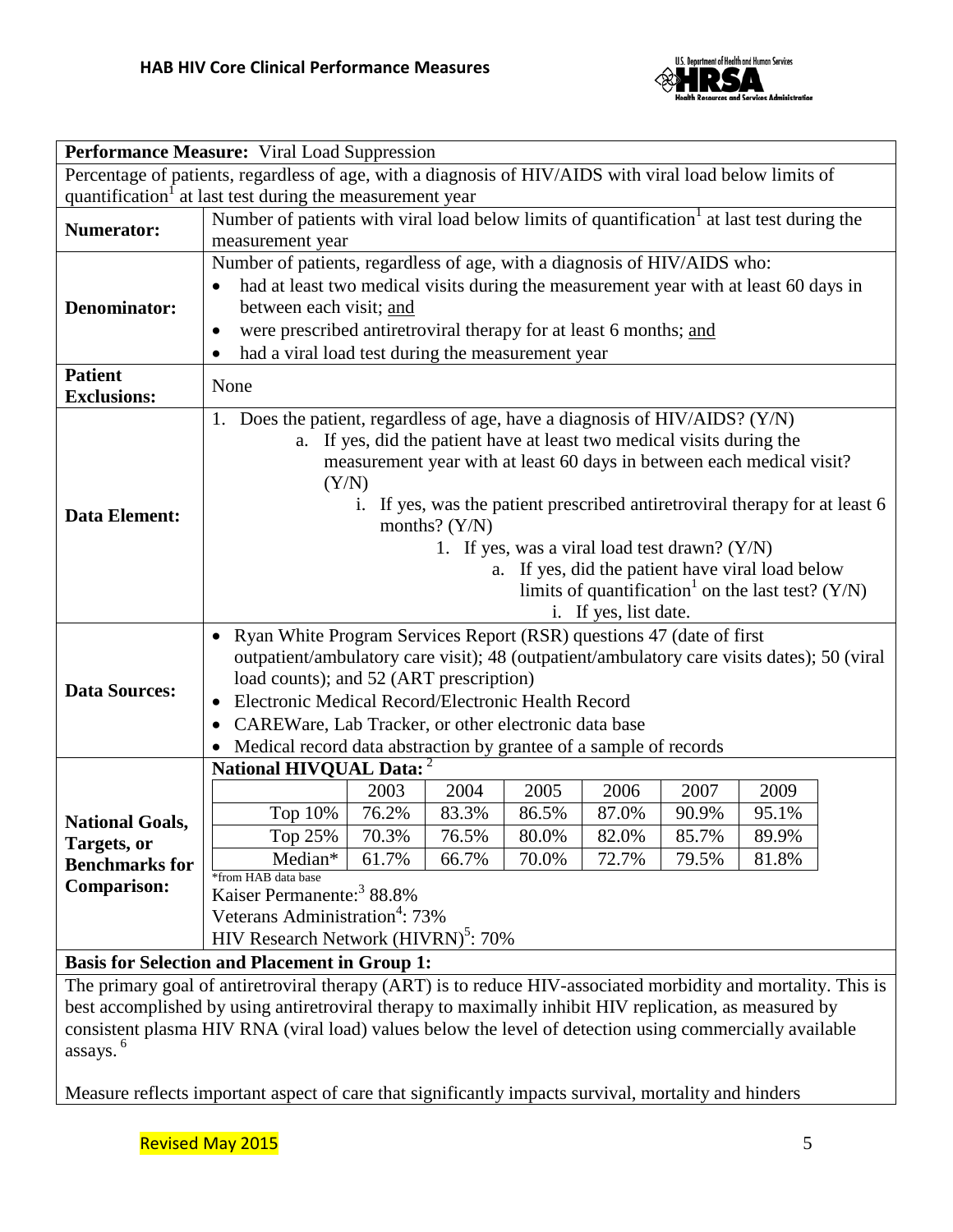

| Performance Measure: Viral Load Suppression                                                             |                                                                                                        |                                                                          |       |       |                                                                        |       |       |  |
|---------------------------------------------------------------------------------------------------------|--------------------------------------------------------------------------------------------------------|--------------------------------------------------------------------------|-------|-------|------------------------------------------------------------------------|-------|-------|--|
| Percentage of patients, regardless of age, with a diagnosis of HIV/AIDS with viral load below limits of |                                                                                                        |                                                                          |       |       |                                                                        |       |       |  |
| quantification at last test during the measurement year                                                 |                                                                                                        |                                                                          |       |       |                                                                        |       |       |  |
|                                                                                                         | Number of patients with viral load below limits of quantification <sup>1</sup> at last test during the |                                                                          |       |       |                                                                        |       |       |  |
| <b>Numerator:</b>                                                                                       | measurement year                                                                                       |                                                                          |       |       |                                                                        |       |       |  |
|                                                                                                         |                                                                                                        | Number of patients, regardless of age, with a diagnosis of HIV/AIDS who: |       |       |                                                                        |       |       |  |
|                                                                                                         | had at least two medical visits during the measurement year with at least 60 days in                   |                                                                          |       |       |                                                                        |       |       |  |
| <b>Denominator:</b>                                                                                     | between each visit; and                                                                                |                                                                          |       |       |                                                                        |       |       |  |
|                                                                                                         | were prescribed antiretroviral therapy for at least 6 months; and<br>$\bullet$                         |                                                                          |       |       |                                                                        |       |       |  |
|                                                                                                         | had a viral load test during the measurement year                                                      |                                                                          |       |       |                                                                        |       |       |  |
| <b>Patient</b>                                                                                          |                                                                                                        |                                                                          |       |       |                                                                        |       |       |  |
| <b>Exclusions:</b>                                                                                      | None                                                                                                   |                                                                          |       |       |                                                                        |       |       |  |
|                                                                                                         | 1. Does the patient, regardless of age, have a diagnosis of HIV/AIDS? (Y/N)                            |                                                                          |       |       |                                                                        |       |       |  |
|                                                                                                         |                                                                                                        |                                                                          |       |       | a. If yes, did the patient have at least two medical visits during the |       |       |  |
|                                                                                                         |                                                                                                        |                                                                          |       |       |                                                                        |       |       |  |
|                                                                                                         | measurement year with at least 60 days in between each medical visit?<br>(Y/N)                         |                                                                          |       |       |                                                                        |       |       |  |
|                                                                                                         | If yes, was the patient prescribed antiretroviral therapy for at least 6<br>1.                         |                                                                          |       |       |                                                                        |       |       |  |
| <b>Data Element:</b>                                                                                    | months? $(Y/N)$                                                                                        |                                                                          |       |       |                                                                        |       |       |  |
|                                                                                                         | 1. If yes, was a viral load test drawn? (Y/N)                                                          |                                                                          |       |       |                                                                        |       |       |  |
|                                                                                                         | a. If yes, did the patient have viral load below                                                       |                                                                          |       |       |                                                                        |       |       |  |
|                                                                                                         | limits of quantification <sup>1</sup> on the last test? ( $Y/N$ )                                      |                                                                          |       |       |                                                                        |       |       |  |
|                                                                                                         | i. If yes, list date.                                                                                  |                                                                          |       |       |                                                                        |       |       |  |
|                                                                                                         | Ryan White Program Services Report (RSR) questions 47 (date of first                                   |                                                                          |       |       |                                                                        |       |       |  |
|                                                                                                         | outpatient/ambulatory care visit); 48 (outpatient/ambulatory care visits dates); 50 (viral             |                                                                          |       |       |                                                                        |       |       |  |
|                                                                                                         | load counts); and 52 (ART prescription)                                                                |                                                                          |       |       |                                                                        |       |       |  |
| <b>Data Sources:</b>                                                                                    | Electronic Medical Record/Electronic Health Record                                                     |                                                                          |       |       |                                                                        |       |       |  |
|                                                                                                         | CAREWare, Lab Tracker, or other electronic data base<br>$\bullet$                                      |                                                                          |       |       |                                                                        |       |       |  |
|                                                                                                         | • Medical record data abstraction by grantee of a sample of records                                    |                                                                          |       |       |                                                                        |       |       |  |
|                                                                                                         | National HIVQUAL Data: <sup>2</sup>                                                                    |                                                                          |       |       |                                                                        |       |       |  |
|                                                                                                         |                                                                                                        | 2003                                                                     | 2004  | 2005  | 2006                                                                   | 2007  | 2009  |  |
|                                                                                                         | Top 10%                                                                                                | 76.2%                                                                    | 83.3% | 86.5% | 87.0%                                                                  | 90.9% | 95.1% |  |
| <b>National Goals,</b>                                                                                  | Top 25%                                                                                                | 70.3%                                                                    | 76.5% | 80.0% | 82.0%                                                                  | 85.7% | 89.9% |  |
| Targets, or                                                                                             | Median*                                                                                                | 61.7%                                                                    | 66.7% | 70.0% | 72.7%                                                                  | 79.5% | 81.8% |  |
| <b>Benchmarks for</b>                                                                                   | *from HAB data base                                                                                    |                                                                          |       |       |                                                                        |       |       |  |
| <b>Comparison:</b>                                                                                      | Kaiser Permanente: <sup>3</sup> 88.8%                                                                  |                                                                          |       |       |                                                                        |       |       |  |
|                                                                                                         | Veterans Administration <sup>4</sup> : 73%                                                             |                                                                          |       |       |                                                                        |       |       |  |
|                                                                                                         | HIV Research Network (HIVRN) <sup>5</sup> : 70%                                                        |                                                                          |       |       |                                                                        |       |       |  |
| <b>Basis for Selection and Placement in Group 1:</b>                                                    |                                                                                                        |                                                                          |       |       |                                                                        |       |       |  |

The primary goal of antiretroviral therapy (ART) is to reduce HIV-associated morbidity and mortality. This is best accomplished by using antiretroviral therapy to maximally inhibit HIV replication, as measured by consistent plasma HIV RNA (viral load) values below the level of detection using commercially available assays. 6

Measure reflects important aspect of care that significantly impacts survival, mortality and hinders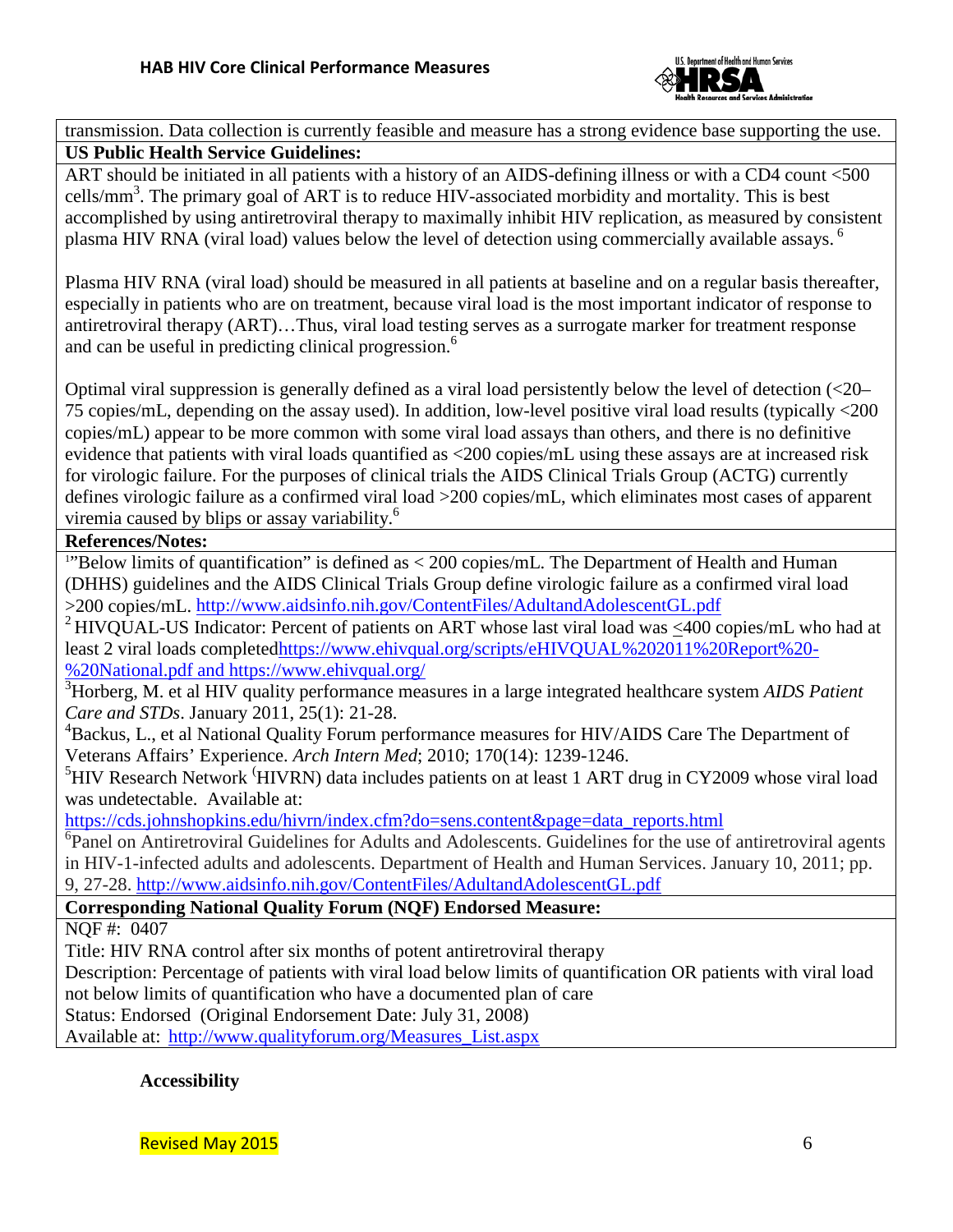

transmission. Data collection is currently feasible and measure has a strong evidence base supporting the use. **US Public Health Service Guidelines:**

ART should be initiated in all patients with a history of an AIDS-defining illness or with a CD4 count <500 cells/mm<sup>3</sup>. The primary goal of ART is to reduce HIV-associated morbidity and mortality. This is best accomplished by using antiretroviral therapy to maximally inhibit HIV replication, as measured by consistent plasma HIV RNA (viral load) values below the level of detection using commercially available assays.<sup>6</sup>

Plasma HIV RNA (viral load) should be measured in all patients at baseline and on a regular basis thereafter, especially in patients who are on treatment, because viral load is the most important indicator of response to antiretroviral therapy (ART)…Thus, viral load testing serves as a surrogate marker for treatment response and can be useful in predicting clinical progression. 6

Optimal viral suppression is generally defined as a viral load persistently below the level of detection (<20– 75 copies/mL, depending on the assay used). In addition, low-level positive viral load results (typically <200 copies/mL) appear to be more common with some viral load assays than others, and there is no definitive evidence that patients with viral loads quantified as <200 copies/mL using these assays are at increased risk for virologic failure. For the purposes of clinical trials the AIDS Clinical Trials Group (ACTG) currently defines virologic failure as a confirmed viral load >200 copies/mL, which eliminates most cases of apparent viremia caused by blips or assay variability. 6

## **References/Notes:**

<sup>1</sup>"Below limits of quantification" is defined as < 200 copies/mL. The Department of Health and Human (DHHS) guidelines and the AIDS Clinical Trials Group define virologic failure as a confirmed viral load >200 copies/mL.<http://www.aidsinfo.nih.gov/ContentFiles/AdultandAdolescentGL.pdf>

<sup>2</sup> HIVOUAL-US Indicator: Percent of patients on ART whose last viral load was  $\leq 400$  copies/mL who had at least 2 viral loads complete[dhttps://www.ehivqual.org/scripts/eHIVQUAL%202011%20Report%20-](https://www.ehivqual.org/scripts/eHIVQUAL%202011%20Report%20-%20National.pdf) [%20National.pdf](https://www.ehivqual.org/scripts/eHIVQUAL%202011%20Report%20-%20National.pdf) and<https://www.ehivqual.org/>

3 Horberg, M. et al HIV quality performance measures in a large integrated healthcare system *AIDS Patient Care and STDs*. January 2011, 25(1): 21-28.

<sup>4</sup>Backus, L., et al National Quality Forum performance measures for HIV/AIDS Care The Department of Veterans Affairs' Experience. *Arch Intern Med*; 2010; 170(14): 1239-1246.

<sup>5</sup>HIV Research Network <sup>(</sup>HIVRN) data includes patients on at least 1 ART drug in CY2009 whose viral load was undetectable. Available at:

[https://cds.johnshopkins.edu/hivrn/index.cfm?do=sens.content&page=data\\_reports.html](https://cds.johnshopkins.edu/hivrn/index.cfm?do=sens.content&page=data_reports.html)

<sup>6</sup>Panel on Antiretroviral Guidelines for Adults and Adolescents. Guidelines for the use of antiretroviral agents in HIV-1-infected adults and adolescents. Department of Health and Human Services. January 10, 2011; pp. 9, 27-28.<http://www.aidsinfo.nih.gov/ContentFiles/AdultandAdolescentGL.pdf>

**Corresponding National Quality Forum (NQF) Endorsed Measure:**

NQF #: 0407

Title: HIV RNA control after six months of potent antiretroviral therapy

Description: Percentage of patients with viral load below limits of quantification OR patients with viral load not below limits of quantification who have a documented plan of care

Status: Endorsed (Original Endorsement Date: July 31, 2008)

Available at: [http://www.qualityforum.org/Measures\\_List.aspx](http://www.qualityforum.org/Measures_List.aspx)

**Accessibility**